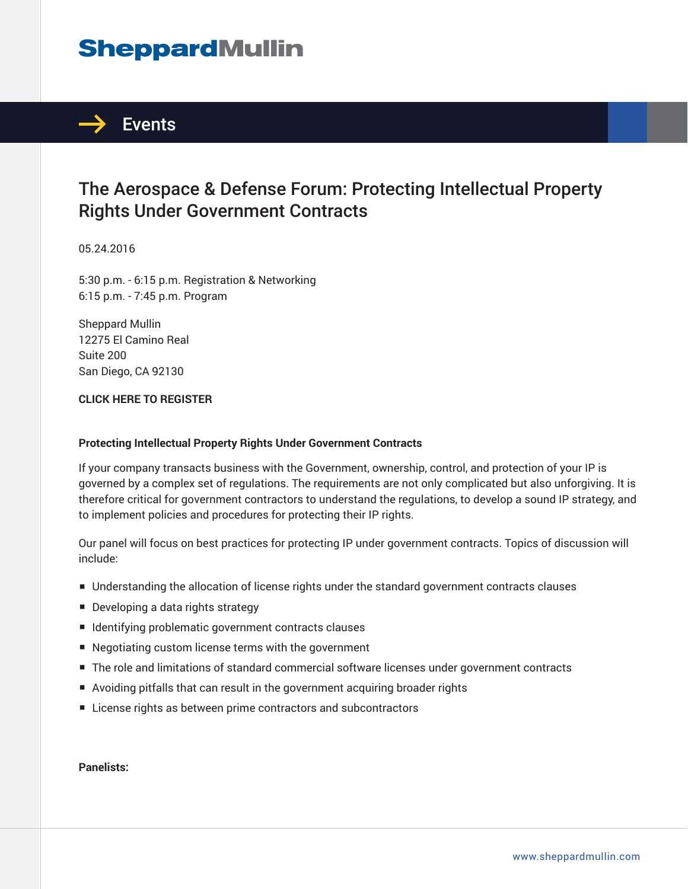# **SheppardMullin**



## The Aerospace & Defense Forum: Protecting Intellectual Property Rights Under Government Contracts

05.24.2016

5:30 p.m. - 6:15 p.m. Registration & Networking 6:15 p.m. - 7:45 p.m. Program

Sheppard Mullin 12275 El Camino Real Suite 200 San Diego, CA 92130

### **CLICK HERE TO REGISTER**

#### **Protecting Intellectual Property Rights Under Government Contracts**

If your company transacts business with the Government, ownership, control, and protection of your IP is governed by a complex set of regulations. The requirements are not only complicated but also unforgiving. It is therefore critical for government contractors to understand the regulations, to develop a sound IP strategy, and to implement policies and procedures for protecting their IP rights.

Our panel will focus on best practices for protecting IP under government contracts. Topics of discussion will include:

- Understanding the allocation of license rights under the standard government contracts clauses
- Developing a data rights strategy
- Identifying problematic government contracts clauses
- Negotiating custom license terms with the government
- The role and limitations of standard commercial software licenses under government contracts
- Avoiding pitfalls that can result in the government acquiring broader rights
- License rights as between prime contractors and subcontractors

**Panelists:**